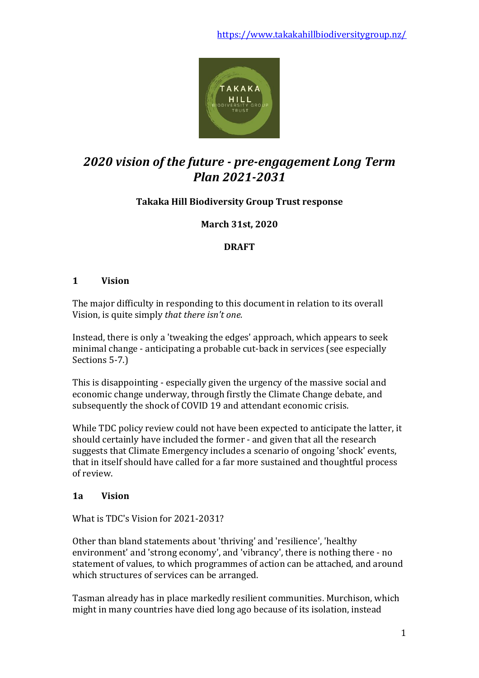

# *2020 vision of the future - pre-engagement Long Term Plan 2021-2031*

# **Takaka Hill Biodiversity Group Trust response**

# **March 31st, 2020**

# **DRAFT**

### **1 Vision**

The major difficulty in responding to this document in relation to its overall Vision, is quite simply *that there isn't one.*

Instead, there is only a 'tweaking the edges' approach, which appears to seek minimal change - anticipating a probable cut-back in services (see especially Sections 5-7.)

This is disappointing - especially given the urgency of the massive social and economic change underway, through firstly the Climate Change debate, and subsequently the shock of COVID 19 and attendant economic crisis.

While TDC policy review could not have been expected to anticipate the latter, it should certainly have included the former - and given that all the research suggests that Climate Emergency includes a scenario of ongoing 'shock' events, that in itself should have called for a far more sustained and thoughtful process of review.

# **1a Vision**

What is TDC's Vision for 2021-2031?

Other than bland statements about 'thriving' and 'resilience', 'healthy environment' and 'strong economy', and 'vibrancy', there is nothing there - no statement of values, to which programmes of action can be attached, and around which structures of services can be arranged.

Tasman already has in place markedly resilient communities. Murchison, which might in many countries have died long ago because of its isolation, instead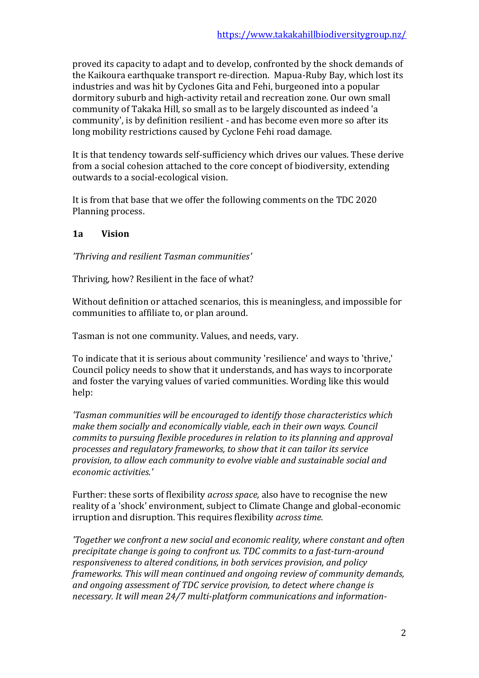proved its capacity to adapt and to develop, confronted by the shock demands of the Kaikoura earthquake transport re-direction. Mapua-Ruby Bay, which lost its industries and was hit by Cyclones Gita and Fehi, burgeoned into a popular dormitory suburb and high-activity retail and recreation zone. Our own small community of Takaka Hill, so small as to be largely discounted as indeed 'a community', is by definition resilient - and has become even more so after its long mobility restrictions caused by Cyclone Fehi road damage.

It is that tendency towards self-sufficiency which drives our values. These derive from a social cohesion attached to the core concept of biodiversity, extending outwards to a social-ecological vision.

It is from that base that we offer the following comments on the TDC 2020 Planning process.

# **1a Vision**

*'Thriving and resilient Tasman communities'*

Thriving, how? Resilient in the face of what?

Without definition or attached scenarios, this is meaningless, and impossible for communities to affiliate to, or plan around.

Tasman is not one community. Values, and needs, vary.

To indicate that it is serious about community 'resilience' and ways to 'thrive,' Council policy needs to show that it understands, and has ways to incorporate and foster the varying values of varied communities. Wording like this would help:

*'Tasman communities will be encouraged to identify those characteristics which make them socially and economically viable, each in their own ways. Council commits to pursuing flexible procedures in relation to its planning and approval processes and regulatory frameworks, to show that it can tailor its service provision, to allow each community to evolve viable and sustainable social and economic activities.'*

Further: these sorts of flexibility *across space,* also have to recognise the new reality of a 'shock' environment, subject to Climate Change and global-economic irruption and disruption. This requires flexibility *across time.*

*'Together we confront a new social and economic reality, where constant and often precipitate change is going to confront us. TDC commits to a fast-turn-around responsiveness to altered conditions, in both services provision, and policy frameworks. This will mean continued and ongoing review of community demands, and ongoing assessment of TDC service provision, to detect where change is necessary. It will mean 24/7 multi-platform communications and information-*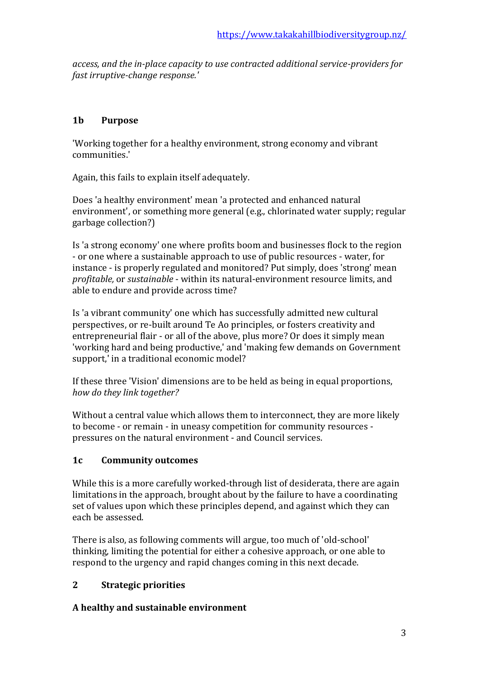*access, and the in-place capacity to use contracted additional service-providers for fast irruptive-change response.'* 

# **1b Purpose**

'Working together for a healthy environment, strong economy and vibrant communities.'

Again, this fails to explain itself adequately.

Does 'a healthy environment' mean 'a protected and enhanced natural environment', or something more general (e.g., chlorinated water supply; regular garbage collection?)

Is 'a strong economy' one where profits boom and businesses flock to the region - or one where a sustainable approach to use of public resources - water, for instance - is properly regulated and monitored? Put simply, does 'strong' mean *profitable,* or *sustainable* - within its natural-environment resource limits, and able to endure and provide across time?

Is 'a vibrant community' one which has successfully admitted new cultural perspectives, or re-built around Te Ao principles, or fosters creativity and entrepreneurial flair - or all of the above, plus more? Or does it simply mean 'working hard and being productive,' and 'making few demands on Government support,' in a traditional economic model?

If these three 'Vision' dimensions are to be held as being in equal proportions, *how do they link together?*

Without a central value which allows them to interconnect, they are more likely to become - or remain - in uneasy competition for community resources pressures on the natural environment - and Council services.

# **1c Community outcomes**

While this is a more carefully worked-through list of desiderata, there are again limitations in the approach, brought about by the failure to have a coordinating set of values upon which these principles depend, and against which they can each be assessed.

There is also, as following comments will argue, too much of 'old-school' thinking, limiting the potential for either a cohesive approach, or one able to respond to the urgency and rapid changes coming in this next decade.

# **2 Strategic priorities**

# **A healthy and sustainable environment**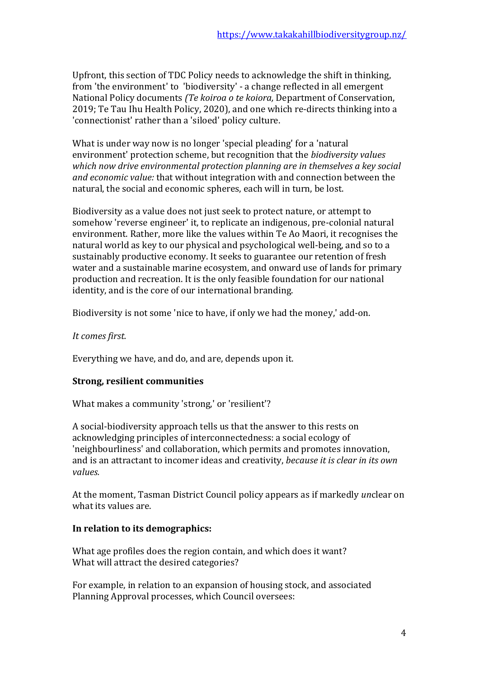Upfront, this section of TDC Policy needs to acknowledge the shift in thinking, from 'the environment' to 'biodiversity' - a change reflected in all emergent National Policy documents *(Te koiroa o te koiora,* Department of Conservation, 2019; Te Tau Ihu Health Policy, 2020), and one which re-directs thinking into a 'connectionist' rather than a 'siloed' policy culture.

What is under way now is no longer 'special pleading' for a 'natural environment' protection scheme, but recognition that the *biodiversity values which now drive environmental protection planning are in themselves a key social and economic value:* that without integration with and connection between the natural, the social and economic spheres, each will in turn, be lost.

Biodiversity as a value does not just seek to protect nature, or attempt to somehow 'reverse engineer' it, to replicate an indigenous, pre-colonial natural environment. Rather, more like the values within Te Ao Maori, it recognises the natural world as key to our physical and psychological well-being, and so to a sustainably productive economy. It seeks to guarantee our retention of fresh water and a sustainable marine ecosystem, and onward use of lands for primary production and recreation. It is the only feasible foundation for our national identity, and is the core of our international branding.

Biodiversity is not some 'nice to have, if only we had the money,' add-on.

*It comes first.*

Everything we have, and do, and are, depends upon it.

# **Strong, resilient communities**

What makes a community 'strong,' or 'resilient'?

A social-biodiversity approach tells us that the answer to this rests on acknowledging principles of interconnectedness: a social ecology of 'neighbourliness' and collaboration, which permits and promotes innovation, and is an attractant to incomer ideas and creativity, *because it is clear in its own values.*

At the moment, Tasman District Council policy appears as if markedly *un*clear on what its values are.

#### **In relation to its demographics:**

What age profiles does the region contain, and which does it want? What will attract the desired categories?

For example, in relation to an expansion of housing stock, and associated Planning Approval processes, which Council oversees: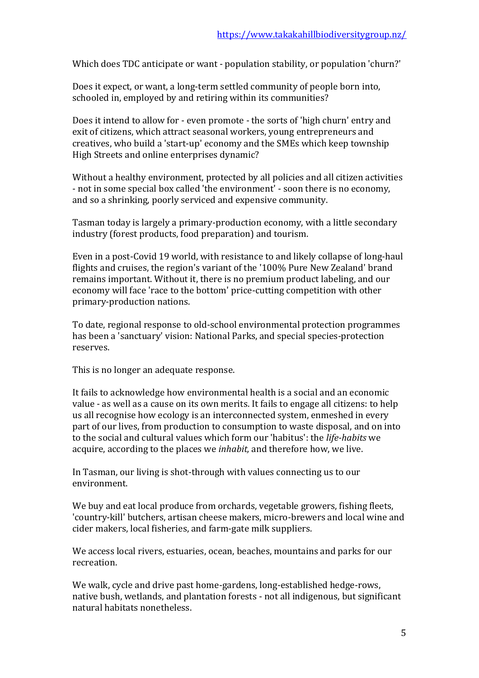Which does TDC anticipate or want - population stability, or population 'churn?'

Does it expect, or want, a long-term settled community of people born into, schooled in, employed by and retiring within its communities?

Does it intend to allow for - even promote - the sorts of 'high churn' entry and exit of citizens, which attract seasonal workers, young entrepreneurs and creatives, who build a 'start-up' economy and the SMEs which keep township High Streets and online enterprises dynamic?

Without a healthy environment, protected by all policies and all citizen activities - not in some special box called 'the environment' - soon there is no economy, and so a shrinking, poorly serviced and expensive community.

Tasman today is largely a primary-production economy, with a little secondary industry (forest products, food preparation) and tourism.

Even in a post-Covid 19 world, with resistance to and likely collapse of long-haul flights and cruises, the region's variant of the '100% Pure New Zealand' brand remains important. Without it, there is no premium product labeling, and our economy will face 'race to the bottom' price-cutting competition with other primary-production nations.

To date, regional response to old-school environmental protection programmes has been a 'sanctuary' vision: National Parks, and special species-protection reserves.

This is no longer an adequate response.

It fails to acknowledge how environmental health is a social and an economic value - as well as a cause on its own merits. It fails to engage all citizens: to help us all recognise how ecology is an interconnected system, enmeshed in every part of our lives, from production to consumption to waste disposal, and on into to the social and cultural values which form our 'habitus': the *life-habits* we acquire, according to the places we *inhabit,* and therefore how, we live.

In Tasman, our living is shot-through with values connecting us to our environment.

We buy and eat local produce from orchards, vegetable growers, fishing fleets, 'country-kill' butchers, artisan cheese makers, micro-brewers and local wine and cider makers, local fisheries, and farm-gate milk suppliers.

We access local rivers, estuaries, ocean, beaches, mountains and parks for our recreation.

We walk, cycle and drive past home-gardens, long-established hedge-rows, native bush, wetlands, and plantation forests - not all indigenous, but significant natural habitats nonetheless.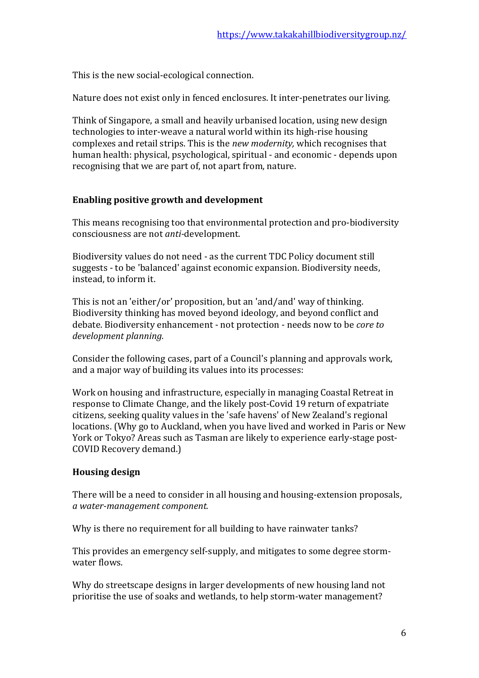This is the new social-ecological connection.

Nature does not exist only in fenced enclosures. It inter-penetrates our living.

Think of Singapore, a small and heavily urbanised location, using new design technologies to inter-weave a natural world within its high-rise housing complexes and retail strips. This is the *new modernity,* which recognises that human health: physical, psychological, spiritual - and economic - depends upon recognising that we are part of, not apart from, nature.

# **Enabling positive growth and development**

This means recognising too that environmental protection and pro-biodiversity consciousness are not *anti-*development.

Biodiversity values do not need - as the current TDC Policy document still suggests - to be 'balanced' against economic expansion. Biodiversity needs, instead, to inform it.

This is not an 'either/or' proposition, but an 'and/and' way of thinking. Biodiversity thinking has moved beyond ideology, and beyond conflict and debate. Biodiversity enhancement - not protection - needs now to be *core to development planning.* 

Consider the following cases, part of a Council's planning and approvals work, and a major way of building its values into its processes:

Work on housing and infrastructure, especially in managing Coastal Retreat in response to Climate Change, and the likely post-Covid 19 return of expatriate citizens, seeking quality values in the 'safe havens' of New Zealand's regional locations. (Why go to Auckland, when you have lived and worked in Paris or New York or Tokyo? Areas such as Tasman are likely to experience early-stage post-COVID Recovery demand.)

# **Housing design**

There will be a need to consider in all housing and housing-extension proposals, *a water-management component.*

Why is there no requirement for all building to have rainwater tanks?

This provides an emergency self-supply, and mitigates to some degree stormwater flows.

Why do streetscape designs in larger developments of new housing land not prioritise the use of soaks and wetlands, to help storm-water management?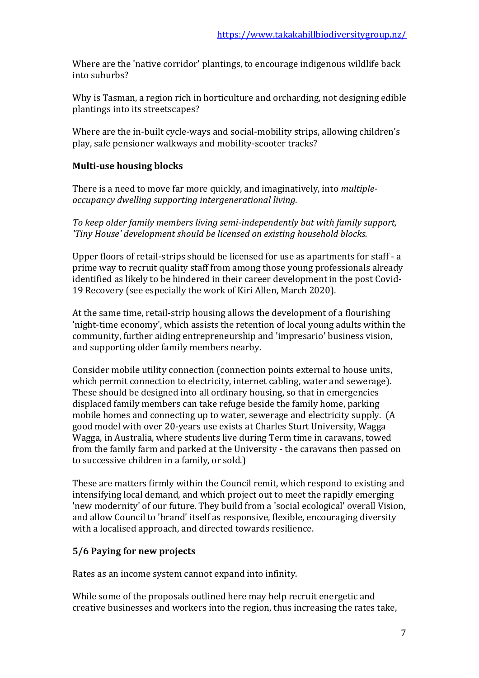Where are the 'native corridor' plantings, to encourage indigenous wildlife back into suburbs?

Why is Tasman, a region rich in horticulture and orcharding, not designing edible plantings into its streetscapes?

Where are the in-built cycle-ways and social-mobility strips, allowing children's play, safe pensioner walkways and mobility-scooter tracks?

### **Multi-use housing blocks**

There is a need to move far more quickly, and imaginatively, into *multipleoccupancy dwelling supporting intergenerational living.* 

*To keep older family members living semi-independently but with family support, 'Tiny House' development should be licensed on existing household blocks.* 

Upper floors of retail-strips should be licensed for use as apartments for staff - a prime way to recruit quality staff from among those young professionals already identified as likely to be hindered in their career development in the post Covid-19 Recovery (see especially the work of Kiri Allen, March 2020).

At the same time, retail-strip housing allows the development of a flourishing 'night-time economy', which assists the retention of local young adults within the community, further aiding entrepreneurship and 'impresario' business vision, and supporting older family members nearby.

Consider mobile utility connection (connection points external to house units, which permit connection to electricity, internet cabling, water and sewerage). These should be designed into all ordinary housing, so that in emergencies displaced family members can take refuge beside the family home, parking mobile homes and connecting up to water, sewerage and electricity supply. (A good model with over 20-years use exists at Charles Sturt University, Wagga Wagga, in Australia, where students live during Term time in caravans, towed from the family farm and parked at the University - the caravans then passed on to successive children in a family, or sold.)

These are matters firmly within the Council remit, which respond to existing and intensifying local demand, and which project out to meet the rapidly emerging 'new modernity' of our future. They build from a 'social ecological' overall Vision, and allow Council to 'brand' itself as responsive, flexible, encouraging diversity with a localised approach, and directed towards resilience.

# **5/6 Paying for new projects**

Rates as an income system cannot expand into infinity.

While some of the proposals outlined here may help recruit energetic and creative businesses and workers into the region, thus increasing the rates take,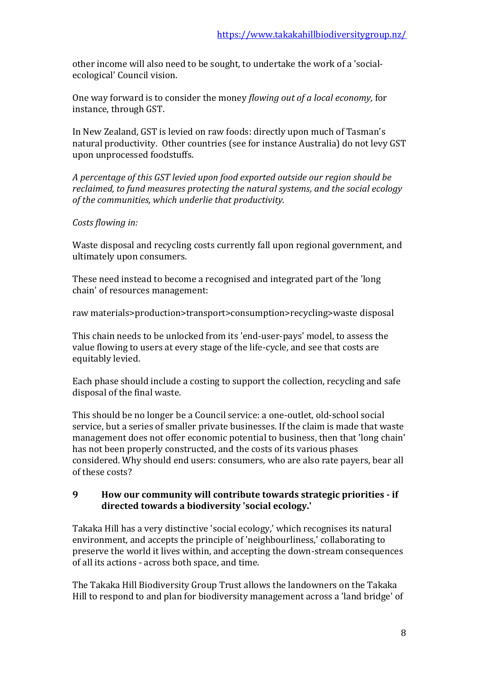other income will also need to be sought, to undertake the work of a 'socialecological' Council vision.

One way forward is to consider the money *flowing out of a local economy,* for instance, through GST.

In New Zealand, GST is levied on raw foods: directly upon much of Tasman's natural productivity. Other countries (see for instance Australia) do not levy GST upon unprocessed foodstuffs.

*A percentage of this GST levied upon food exported outside our region should be reclaimed, to fund measures protecting the natural systems, and the social ecology of the communities, which underlie that productivity.* 

#### *Costs flowing in:*

Waste disposal and recycling costs currently fall upon regional government, and ultimately upon consumers.

These need instead to become a recognised and integrated part of the 'long chain' of resources management:

raw materials>production>transport>consumption>recycling>waste disposal

This chain needs to be unlocked from its 'end-user-pays' model, to assess the value flowing to users at every stage of the life-cycle, and see that costs are equitably levied.

Each phase should include a costing to support the collection, recycling and safe disposal of the final waste.

This should be no longer be a Council service: a one-outlet, old-school social service, but a series of smaller private businesses. If the claim is made that waste management does not offer economic potential to business, then that 'long chain' has not been properly constructed, and the costs of its various phases considered. Why should end users: consumers, who are also rate payers, bear all of these costs?

#### **9 How our community will contribute towards strategic priorities - if directed towards a biodiversity 'social ecology.'**

Takaka Hill has a very distinctive 'social ecology,' which recognises its natural environment, and accepts the principle of 'neighbourliness,' collaborating to preserve the world it lives within, and accepting the down-stream consequences of all its actions - across both space, and time.

The Takaka Hill Biodiversity Group Trust allows the landowners on the Takaka Hill to respond to and plan for biodiversity management across a 'land bridge' of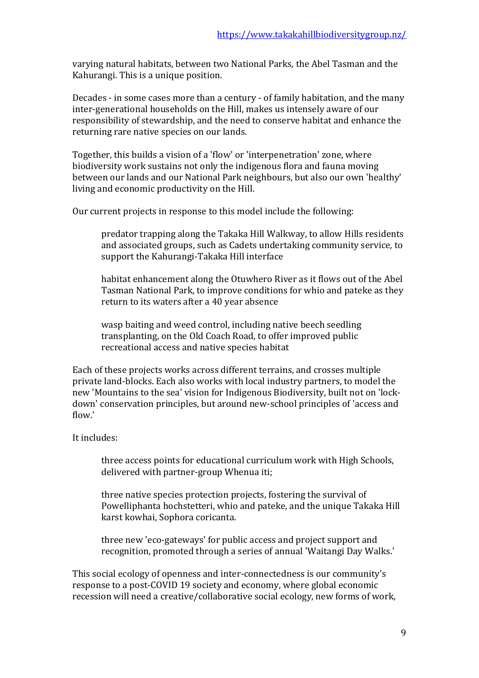varying natural habitats, between two National Parks, the Abel Tasman and the Kahurangi. This is a unique position.

Decades - in some cases more than a century - of family habitation, and the many inter-generational households on the Hill, makes us intensely aware of our responsibility of stewardship, and the need to conserve habitat and enhance the returning rare native species on our lands.

Together, this builds a vision of a 'flow' or 'interpenetration' zone, where biodiversity work sustains not only the indigenous flora and fauna moving between our lands and our National Park neighbours, but also our own 'healthy' living and economic productivity on the Hill.

Our current projects in response to this model include the following:

predator trapping along the Takaka Hill Walkway, to allow Hills residents and associated groups, such as Cadets undertaking community service, to support the Kahurangi-Takaka Hill interface

habitat enhancement along the Otuwhero River as it flows out of the Abel Tasman National Park, to improve conditions for whio and pateke as they return to its waters after a 40 year absence

wasp baiting and weed control, including native beech seedling transplanting, on the Old Coach Road, to offer improved public recreational access and native species habitat

Each of these projects works across different terrains, and crosses multiple private land-blocks. Each also works with local industry partners, to model the new 'Mountains to the sea' vision for Indigenous Biodiversity, built not on 'lockdown' conservation principles, but around new-school principles of 'access and flow.'

#### It includes:

three access points for educational curriculum work with High Schools, delivered with partner-group Whenua iti;

three native species protection projects, fostering the survival of Powelliphanta hochstetteri, whio and pateke, and the unique Takaka Hill karst kowhai, Sophora coricanta.

three new 'eco-gateways' for public access and project support and recognition, promoted through a series of annual 'Waitangi Day Walks.'

This social ecology of openness and inter-connectedness is our community's response to a post-COVID 19 society and economy, where global economic recession will need a creative/collaborative social ecology, new forms of work,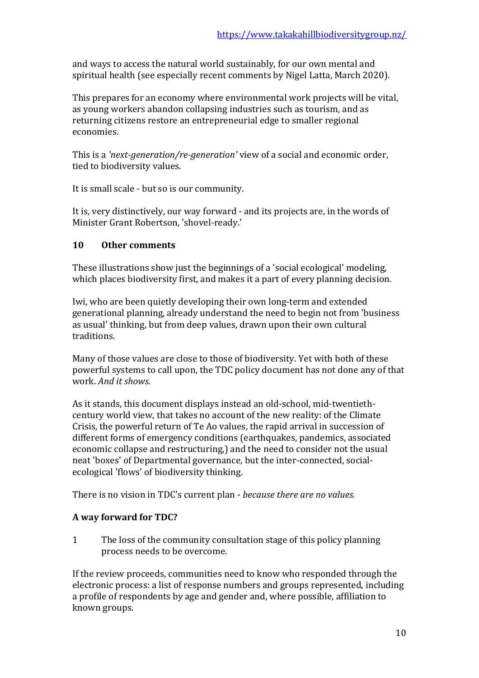and ways to access the natural world sustainably, for our own mental and spiritual health (see especially recent comments by Nigel Latta, March 2020).

This prepares for an economy where environmental work projects will be vital, as young workers abandon collapsing industries such as tourism, and as returning citizens restore an entrepreneurial edge to smaller regional economies.

This is a *'next-generation/re-generation'* view of a social and economic order, tied to biodiversity values.

It is small scale - but so is our community.

It is, very distinctively, our way forward - and its projects are, in the words of Minister Grant Robertson, 'shovel-ready.'

### **10 Other comments**

These illustrations show just the beginnings of a 'social ecological' modeling, which places biodiversity first, and makes it a part of every planning decision.

Iwi, who are been quietly developing their own long-term and extended generational planning, already understand the need to begin not from 'business as usual' thinking, but from deep values, drawn upon their own cultural traditions.

Many of those values are close to those of biodiversity. Yet with both of these powerful systems to call upon, the TDC policy document has not done any of that work. *And it shows.*

As it stands, this document displays instead an old-school, mid-twentiethcentury world view, that takes no account of the new reality: of the Climate Crisis, the powerful return of Te Ao values, the rapid arrival in succession of different forms of emergency conditions (earthquakes, pandemics, associated economic collapse and restructuring,) and the need to consider not the usual neat 'boxes' of Departmental governance, but the inter-connected, socialecological 'flows' of biodiversity thinking.

There is no vision in TDC's current plan - *because there are no values.*

#### **A way forward for TDC?**

1 The loss of the community consultation stage of this policy planning process needs to be overcome.

If the review proceeds, communities need to know who responded through the electronic process: a list of response numbers and groups represented, including a profile of respondents by age and gender and, where possible, affiliation to known groups.